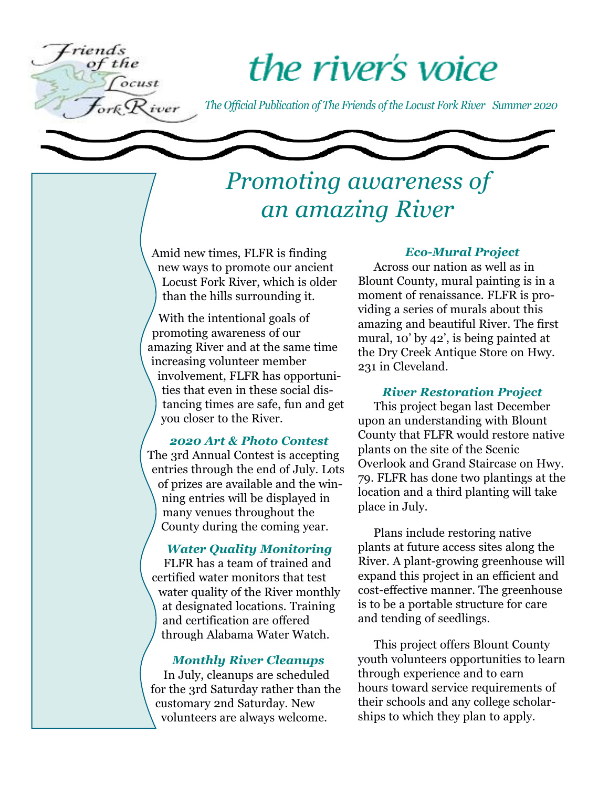

# the river's voice

*The Official Publication of The Friends of the Locust Fork River Summer 2020*



### *Promoting awareness of an amazing River*

Amid new times, FLFR is finding new ways to promote our ancient Locust Fork River, which is older than the hills surrounding it.

With the intentional goals of promoting awareness of our amazing River and at the same time increasing volunteer member involvement, FLFR has opportunities that even in these social distancing times are safe, fun and get you closer to the River.

### *2020 Art & Photo Contest*

The 3rd Annual Contest is accepting entries through the end of July. Lots of prizes are available and the winning entries will be displayed in many venues throughout the County during the coming year.

### *Water Quality Monitoring*

FLFR has a team of trained and certified water monitors that test water quality of the River monthly at designated locations. Training and certification are offered through Alabama Water Watch.

### *Monthly River Cleanups*

In July, cleanups are scheduled for the 3rd Saturday rather than the customary 2nd Saturday. New volunteers are always welcome.

### *Eco-Mural Project*

Across our nation as well as in Blount County, mural painting is in a moment of renaissance. FLFR is providing a series of murals about this amazing and beautiful River. The first mural, 10' by 42', is being painted at the Dry Creek Antique Store on Hwy. 231 in Cleveland.

#### *River Restoration Project*

This project began last December upon an understanding with Blount County that FLFR would restore native plants on the site of the Scenic Overlook and Grand Staircase on Hwy. 79. FLFR has done two plantings at the location and a third planting will take place in July.

Plans include restoring native plants at future access sites along the River. A plant-growing greenhouse will expand this project in an efficient and cost-effective manner. The greenhouse is to be a portable structure for care and tending of seedlings.

This project offers Blount County youth volunteers opportunities to learn through experience and to earn hours toward service requirements of their schools and any college scholarships to which they plan to apply.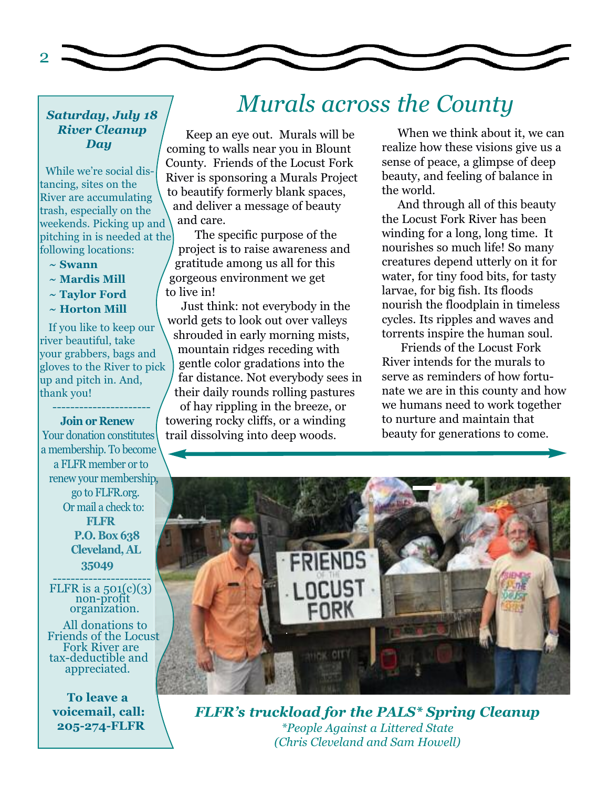

### *Saturday, July 18 River Cleanup Day*

While we're social distancing, sites on the River are accumulating trash, especially on the weekends. Picking up and pitching in is needed at the following locations:

- **~ Swann**
- **~ Mardis Mill**
- **~ Taylor Ford**
- **~ Horton Mill**

If you like to keep our river beautiful, take your grabbers, bags and gloves to the River to pick up and pitch in. And, thank you! ----------------------

#### **Join or Renew**

Your donation constitutes a membership. To become a FLFR member or to renew your membership, go to [FLFR.org.](www.flfr.org) Or mail a check to: **FLFR P.O. Box 638 Cleveland, AL 35049** -----------------------<br>FLFR is a 501(c)(3)

non-profit organization.

All donations to Friends of the Locust Fork River are tax-deductible and appreciated.

**To leave a voicemail, call: 205-274-FLFR**

### *Murals across the County*

Keep an eye out. Murals will be coming to walls near you in Blount County. Friends of the Locust Fork River is sponsoring a Murals Project to beautify formerly blank spaces, and deliver a message of beauty and care.

The specific purpose of the project is to raise awareness and gratitude among us all for this gorgeous environment we get to live in!

Just think: not everybody in the world gets to look out over valleys shrouded in early morning mists, mountain ridges receding with gentle color gradations into the far distance. Not everybody sees in their daily rounds rolling pastures of hay rippling in the breeze, or towering rocky cliffs, or a winding trail dissolving into deep woods.

When we think about it, we can realize how these visions give us a sense of peace, a glimpse of deep beauty, and feeling of balance in the world.

And through all of this beauty the Locust Fork River has been winding for a long, long time. It nourishes so much life! So many creatures depend utterly on it for water, for tiny food bits, for tasty larvae, for big fish. Its floods nourish the floodplain in timeless cycles. Its ripples and waves and torrents inspire the human soul.

Friends of the Locust Fork River intends for the murals to serve as reminders of how fortunate we are in this county and how we humans need to work together to nurture and maintain that beauty for generations to come.



*FLFR's truckload for the PALS\* Spring Cleanup \*People Against a Littered State (Chris Cleveland and Sam Howell)*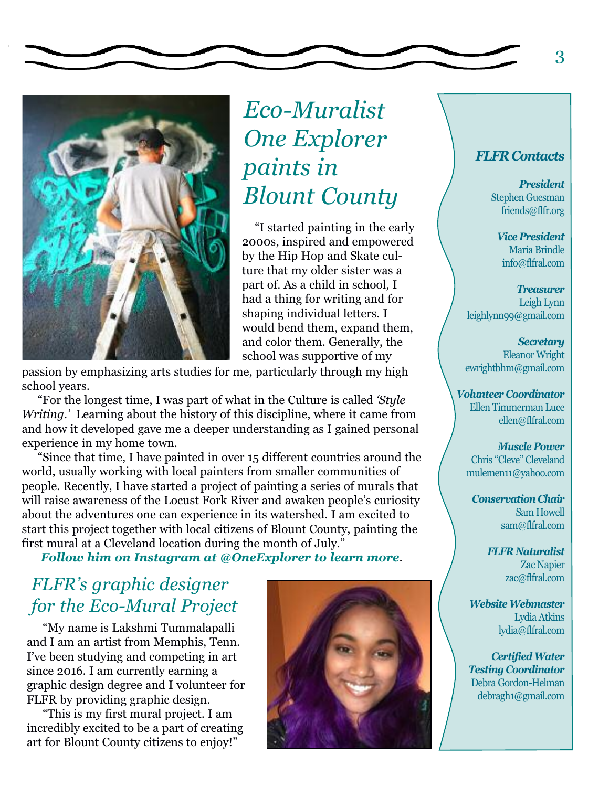

## *Eco-Muralist One Explorer paints in Blount County*

"I started painting in the early 2000s, inspired and empowered by the Hip Hop and Skate culture that my older sister was a part of. As a child in school, I had a thing for writing and for shaping individual letters. I would bend them, expand them, and color them. Generally, the school was supportive of my

passion by emphasizing arts studies for me, particularly through my high school years.

"For the longest time, I was part of what in the Culture is called *'Style Writing.'* Learning about the history of this discipline, where it came from and how it developed gave me a deeper understanding as I gained personal experience in my home town.

"Since that time, I have painted in over 15 different countries around the world, usually working with local painters from smaller communities of people. Recently, I have started a project of painting a series of murals that will raise awareness of the Locust Fork River and awaken people's curiosity about the adventures one can experience in its watershed. I am excited to start this project together with local citizens of Blount County, painting the first mural at a Cleveland location during the month of July."

*Follow him on Instagram at @OneExplorer to learn more*.

### *FLFR's graphic designer for the Eco-Mural Project*

"My name is Lakshmi Tummalapalli and I am an artist from Memphis, Tenn. I've been studying and competing in art since 2016. I am currently earning a graphic design degree and I volunteer for FLFR by providing graphic design.

"This is my first mural project. I am incredibly excited to be a part of creating art for Blount County citizens to enjoy!"



### *FLFR Contacts*

*President* Stephen Guesman friends@flfr.org

*Vice President* Maria Brindle info@flfral.com

*Treasurer* Leigh Lynn leighlynn99@gmail.com

*Secretary* Eleanor Wright ewrightbhm@gmail.com

*Volunteer Coordinator* Ellen Timmerman Luce ellen@flfral.com

*Muscle Power* Chris "Cleve" Cleveland mulemen11@yahoo.com

*Conservation Chair* Sam Howell sam@flfral.com

> *FLFR Naturalist* Zac Napier zac@flfral.com

*WebsiteWebmaster* Lydia Atkins lydia@flfral.com

*CertifiedWater Testing Coordinator* Debra Gordon-Helman debragh1@gmail.com